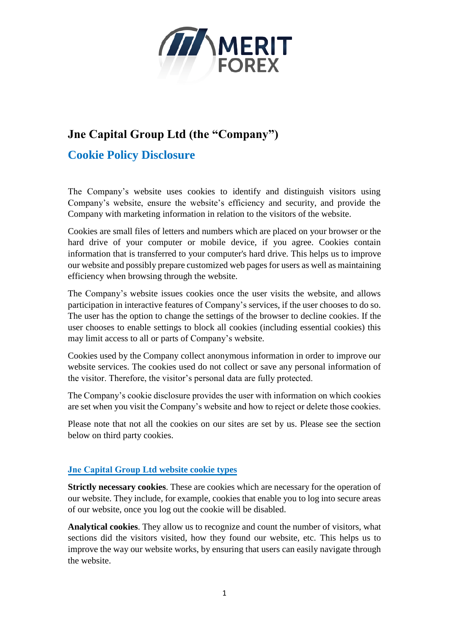

## **Jne Capital Group Ltd (the "Company")**

## **Cookie Policy Disclosure**

The Company's website uses cookies to identify and distinguish visitors using Company's website, ensure the website's efficiency and security, and provide the Company with marketing information in relation to the visitors of the website.

Cookies are small files of letters and numbers which are placed on your browser or the hard drive of your computer or mobile device, if you agree. Cookies contain information that is transferred to your computer's hard drive. This helps us to improve our website and possibly prepare customize[d web pages](http://www.webopedia.com/TERM/W/web_page.html) for users as well as maintaining efficiency when browsing through the website.

The Company's website issues cookies once the user visits the website, and allows participation in interactive features of Company's services, if the user chooses to do so. The user has the option to change the settings of the browser to decline cookies. If the user chooses to enable settings to block all cookies (including essential cookies) this may limit access to all or parts of Company's website.

Cookies used by the Company collect anonymous information in order to improve our website services. The cookies used do not collect or save any personal information of the visitor. Therefore, the visitor's personal data are fully protected.

The Company's cookie disclosure provides the user with information on which cookies are set when you visit the Company's website and how to reject or delete those cookies.

Please note that not all the cookies on our sites are set by us. Please see the section below on third party cookies.

## **Jne Capital Group Ltd website cookie types**

**Strictly necessary cookies**. These are cookies which are necessary for the operation of our website. They include, for example, cookies that enable you to log into secure areas of our website, once you log out the cookie will be disabled.

**Analytical cookies**. They allow us to recognize and count the number of visitors, what sections did the visitors visited, how they found our website, etc. This helps us to improve the way our website works, by ensuring that users can easily navigate through the website.